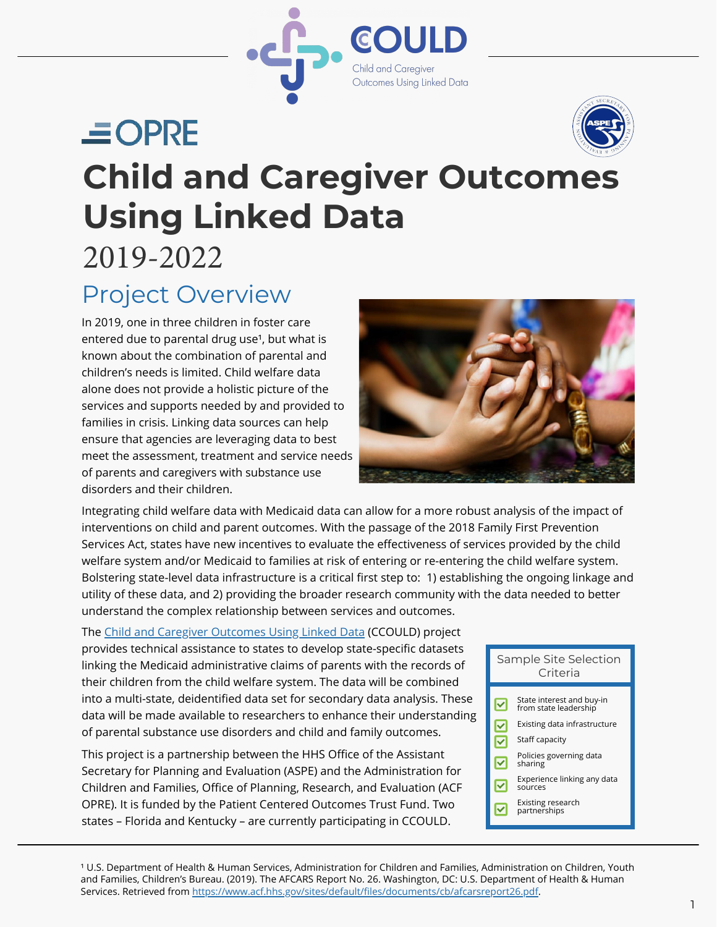

# $\equiv$  OPRE



## **Child and Caregiver Outcomes Using Linked Data**  2019-2022

## Project Overview

In 2019, one in three children in foster care entered due to parental drug use<sup>1</sup>, but what is known about the combination of parental and children's needs is limited. Child welfare data alone does not provide a holistic picture of the services and supports needed by and provided to families in crisis. Linking data sources can help ensure that agencies are leveraging data to best meet the assessment, treatment and service needs of parents and caregivers with substance use disorders and their children.



Integrating child welfare data with Medicaid data can allow for a more robust analysis of the impact of interventions on child and parent outcomes. With the passage of the 2018 Family First Prevention Services Act, states have new incentives to evaluate the effectiveness of services provided by the child welfare system and/or Medicaid to families at risk of entering or re-entering the child welfare system. Bolstering state-level data infrastructure is a critical first step to: 1) establishing the ongoing linkage and utility of these data, and 2) providing the broader research community with the data needed to better understand the complex relationship between services and outcomes.

The [Child and Caregiver Outcomes Using Linked Data](https://www.acf.hhs.gov/opre/project/child-and-caregiver-outcomes-using-linked-data-2019-2021) (CCOULD) project provides technical assistance to states to develop state-specific datasets linking the Medicaid administrative claims of parents with the records of their children from the child welfare system. The data will be combined into a multi-state, deidentified data set for secondary data analysis. These data will be made available to researchers to enhance their understanding of parental substance use disorders and child and family outcomes.

This project is a partnership between the HHS Office of the Assistant Secretary for Planning and Evaluation (ASPE) and the Administration for Children and Families, Office of Planning, Research, and Evaluation (ACF OPRE). It is funded by the Patient Centered Outcomes Trust Fund. Two states – Florida and Kentucky – are currently participating in CCOULD.

#### Sample Site Selection Criteria State interest and buy-in from state leadership  $\vert\mathbf{v}\vert$ Existing data infrastructure

- Staff capacity ☑
- Policies governing data  $\overline{\blacktriangledown}$ sharing
- Experience linking any data  $\overline{\blacktriangledown}$ sources
- Existing research
- partnerships

<sup>1</sup> U.S. Department of Health & Human Services, Administration for Children and Families, Administration on Children, Youth and Families, Children's Bureau. (2019). The AFCARS Report No. 26. Washington, DC: U.S. Department of Health & Human Services. Retrieved from https://www.acf.hhs.gov/sites/default/files/documents/cb/afcarsreport26.pdf.